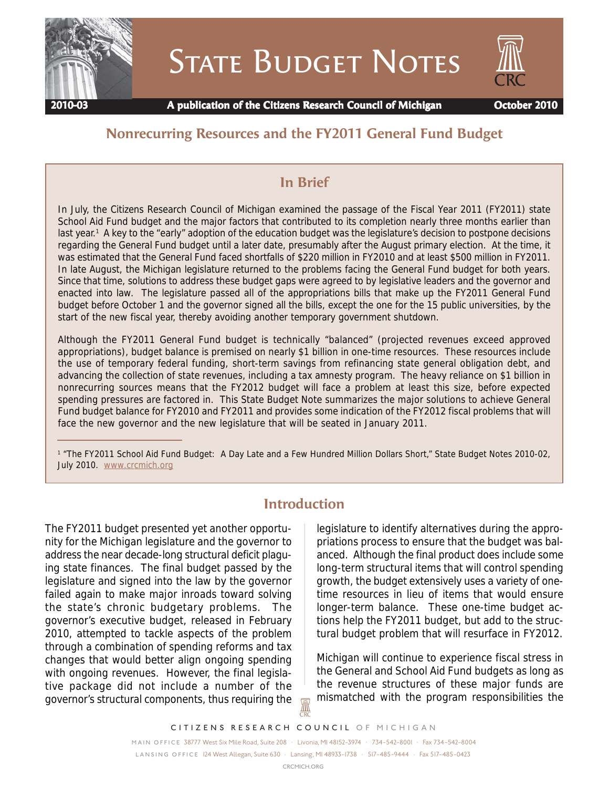

# **STATE BUDGET NOTES**



 **2010-03 A publication of the Citizens Research Council of Michigan October 2010**

## **Nonrecurring Resources and the FY2011 General Fund Budget**

## **In Brief**

In July, the Citizens Research Council of Michigan examined the passage of the Fiscal Year 2011 (FY2011) state School Aid Fund budget and the major factors that contributed to its completion nearly three months earlier than last year.<sup>1</sup> A key to the "early" adoption of the education budget was the legislature's decision to postpone decisions regarding the General Fund budget until a later date, presumably after the August primary election. At the time, it was estimated that the General Fund faced shortfalls of \$220 million in FY2010 and at least \$500 million in FY2011. In late August, the Michigan legislature returned to the problems facing the General Fund budget for both years. Since that time, solutions to address these budget gaps were agreed to by legislative leaders and the governor and enacted into law. The legislature passed all of the appropriations bills that make up the FY2011 General Fund budget before October 1 and the governor signed all the bills, except the one for the 15 public universities, by the start of the new fiscal year, thereby avoiding another temporary government shutdown.

Although the FY2011 General Fund budget is technically "balanced" (projected revenues exceed approved appropriations), budget balance is premised on nearly \$1 billion in one-time resources. These resources include the use of temporary federal funding, short-term savings from refinancing state general obligation debt, and advancing the collection of state revenues, including a tax amnesty program. The heavy reliance on \$1 billion in nonrecurring sources means that the FY2012 budget will face a problem at least this size, before expected spending pressures are factored in. This State Budget Note summarizes the major solutions to achieve General Fund budget balance for FY2010 and FY2011 and provides some indication of the FY2012 fiscal problems that will face the new governor and the new legislature that will be seated in January 2011.

1 "The FY2011 School Aid Fund Budget: A Day Late and a Few Hundred Million Dollars Short," State Budget Notes 2010-02, July 2010. www.crcmich.org

## **Introduction**

The FY2011 budget presented yet another opportunity for the Michigan legislature and the governor to address the near decade-long structural deficit plaguing state finances. The final budget passed by the legislature and signed into the law by the governor failed again to make major inroads toward solving the state's chronic budgetary problems. The governor's executive budget, released in February 2010, attempted to tackle aspects of the problem through a combination of spending reforms and tax changes that would better align ongoing spending with ongoing revenues. However, the final legislative package did not include a number of the governor's structural components, thus requiring the

legislature to identify alternatives during the appropriations process to ensure that the budget was balanced. Although the final product does include some long-term structural items that will control spending growth, the budget extensively uses a variety of onetime resources in lieu of items that would ensure longer-term balance. These one-time budget actions help the FY2011 budget, but add to the structural budget problem that will resurface in FY2012.

Michigan will continue to experience fiscal stress in the General and School Aid Fund budgets as long as the revenue structures of these major funds are mismatched with the program responsibilities the

<u>M</u>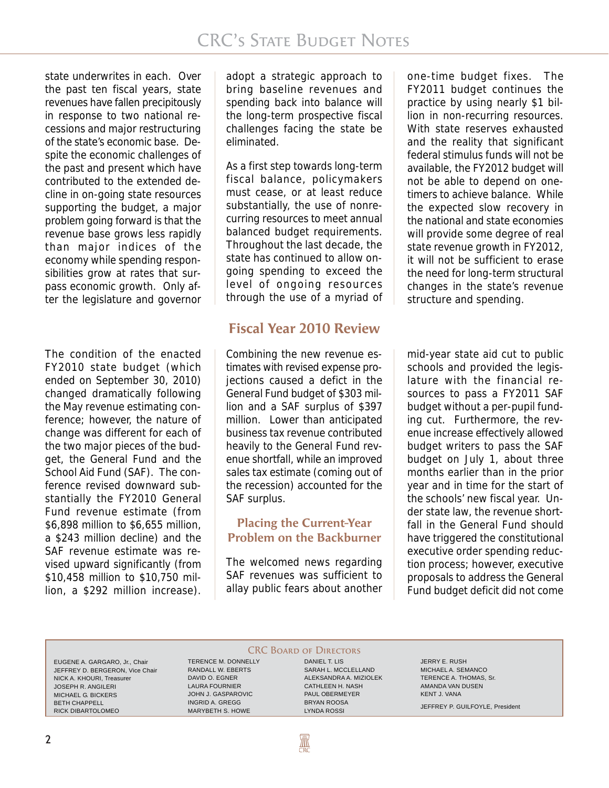state underwrites in each. Over the past ten fiscal years, state revenues have fallen precipitously in response to two national recessions and major restructuring of the state's economic base. Despite the economic challenges of the past and present which have contributed to the extended decline in on-going state resources supporting the budget, a major problem going forward is that the revenue base grows less rapidly than major indices of the economy while spending responsibilities grow at rates that surpass economic growth. Only after the legislature and governor

The condition of the enacted FY2010 state budget (which ended on September 30, 2010) changed dramatically following the May revenue estimating conference; however, the nature of change was different for each of the two major pieces of the budget, the General Fund and the School Aid Fund (SAF). The conference revised downward substantially the FY2010 General Fund revenue estimate (from \$6,898 million to \$6,655 million, a \$243 million decline) and the SAF revenue estimate was revised upward significantly (from \$10,458 million to \$10,750 million, a \$292 million increase).

adopt a strategic approach to bring baseline revenues and spending back into balance will the long-term prospective fiscal challenges facing the state be eliminated.

As a first step towards long-term fiscal balance, policymakers must cease, or at least reduce substantially, the use of nonrecurring resources to meet annual balanced budget requirements. Throughout the last decade, the state has continued to allow ongoing spending to exceed the level of ongoing resources through the use of a myriad of

## **Fiscal Year 2010 Review**

Combining the new revenue estimates with revised expense projections caused a defict in the General Fund budget of \$303 million and a SAF surplus of \$397 million. Lower than anticipated business tax revenue contributed heavily to the General Fund revenue shortfall, while an improved sales tax estimate (coming out of the recession) accounted for the SAF surplus.

#### **Placing the Current-Year Problem on the Backburner**

The welcomed news regarding SAF revenues was sufficient to allay public fears about another

one-time budget fixes. The FY2011 budget continues the practice by using nearly \$1 billion in non-recurring resources. With state reserves exhausted and the reality that significant federal stimulus funds will not be available, the FY2012 budget will not be able to depend on onetimers to achieve balance. While the expected slow recovery in the national and state economies will provide some degree of real state revenue growth in FY2012, it will not be sufficient to erase the need for long-term structural changes in the state's revenue structure and spending.

mid-year state aid cut to public schools and provided the legislature with the financial resources to pass a FY2011 SAF budget without a per-pupil funding cut. Furthermore, the revenue increase effectively allowed budget writers to pass the SAF budget on July 1, about three months earlier than in the prior year and in time for the start of the schools' new fiscal year. Under state law, the revenue shortfall in the General Fund should have triggered the constitutional executive order spending reduction process; however, executive proposals to address the General Fund budget deficit did not come

EUGENE A. GARGARO, Jr., Chair JEFFREY D. BERGERON, Vice Chair NICK A. KHOURI, Treasurer JOSEPH R. ANGILERI MICHAEL G. BICKERS BETH CHAPPELL RICK DIBARTOLOMEO

TERENCE M. DONNELLY RANDALL W. EBERTS DAVID O. EGNER LAURA FOURNIER JOHN J. GASPAROVIC INGRID A. GREGG MARYBETH S. HOWE

**CRC BOARD OF DIRECTORS** DANIEL T. LIS SARAH L. MCCLELLAND ALEKSANDRA A. MIZIOLEK CATHLEEN H. NASH PAUL OBERMEYER BRYAN ROOSA

LYNDA ROSSI

**AN** 

JERRY E. RUSH MICHAEL A. SEMANCO TERENCE A. THOMAS, Sr. AMANDA VAN DUSEN KENT J. VANA JEFFREY P. GUILFOYLE, President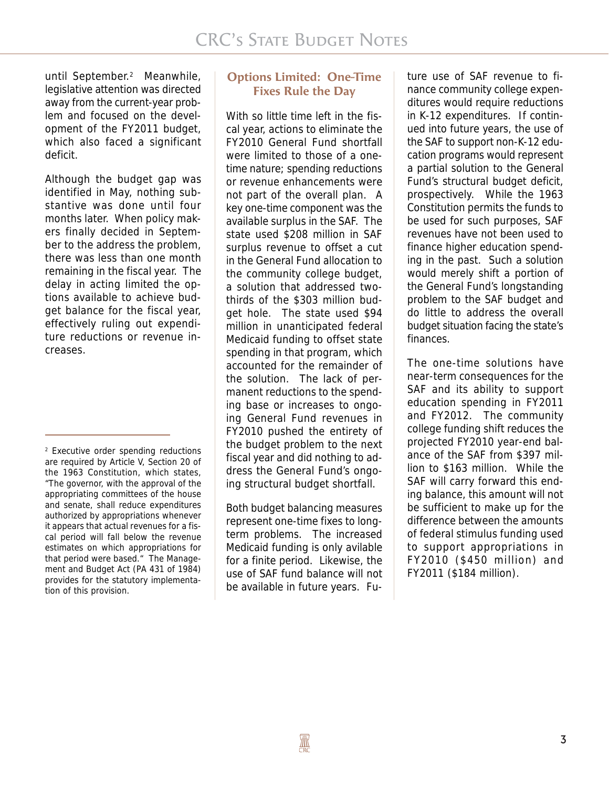until September.<sup>2</sup> Meanwhile, legislative attention was directed away from the current-year problem and focused on the development of the FY2011 budget, which also faced a significant deficit.

Although the budget gap was identified in May, nothing substantive was done until four months later. When policy makers finally decided in September to the address the problem, there was less than one month remaining in the fiscal year. The delay in acting limited the options available to achieve budget balance for the fiscal year, effectively ruling out expenditure reductions or revenue increases.

#### **Options Limited: One-Time Fixes Rule the Day**

With so little time left in the fiscal year, actions to eliminate the FY2010 General Fund shortfall were limited to those of a onetime nature; spending reductions or revenue enhancements were not part of the overall plan. A key one-time component was the available surplus in the SAF. The state used \$208 million in SAF surplus revenue to offset a cut in the General Fund allocation to the community college budget, a solution that addressed twothirds of the \$303 million budget hole. The state used \$94 million in unanticipated federal Medicaid funding to offset state spending in that program, which accounted for the remainder of the solution. The lack of permanent reductions to the spending base or increases to ongoing General Fund revenues in FY2010 pushed the entirety of the budget problem to the next fiscal year and did nothing to address the General Fund's ongoing structural budget shortfall.

Both budget balancing measures represent one-time fixes to longterm problems. The increased Medicaid funding is only avilable for a finite period. Likewise, the use of SAF fund balance will not be available in future years. Fu-

ture use of SAF revenue to finance community college expenditures would require reductions in K-12 expenditures. If continued into future years, the use of the SAF to support non-K-12 education programs would represent a partial solution to the General Fund's structural budget deficit, prospectively. While the 1963 Constitution permits the funds to be used for such purposes, SAF revenues have not been used to finance higher education spending in the past. Such a solution would merely shift a portion of the General Fund's longstanding problem to the SAF budget and do little to address the overall budget situation facing the state's finances.

The one-time solutions have near-term consequences for the SAF and its ability to support education spending in FY2011 and FY2012. The community college funding shift reduces the projected FY2010 year-end balance of the SAF from \$397 million to \$163 million. While the SAF will carry forward this ending balance, this amount will not be sufficient to make up for the difference between the amounts of federal stimulus funding used to support appropriations in FY2010 (\$450 million) and FY2011 (\$184 million).

<sup>2</sup> Executive order spending reductions are required by Article V, Section 20 of the 1963 Constitution, which states, "The governor, with the approval of the appropriating committees of the house and senate, shall reduce expenditures authorized by appropriations whenever it appears that actual revenues for a fiscal period will fall below the revenue estimates on which appropriations for that period were based." The Management and Budget Act (PA 431 of 1984) provides for the statutory implementation of this provision.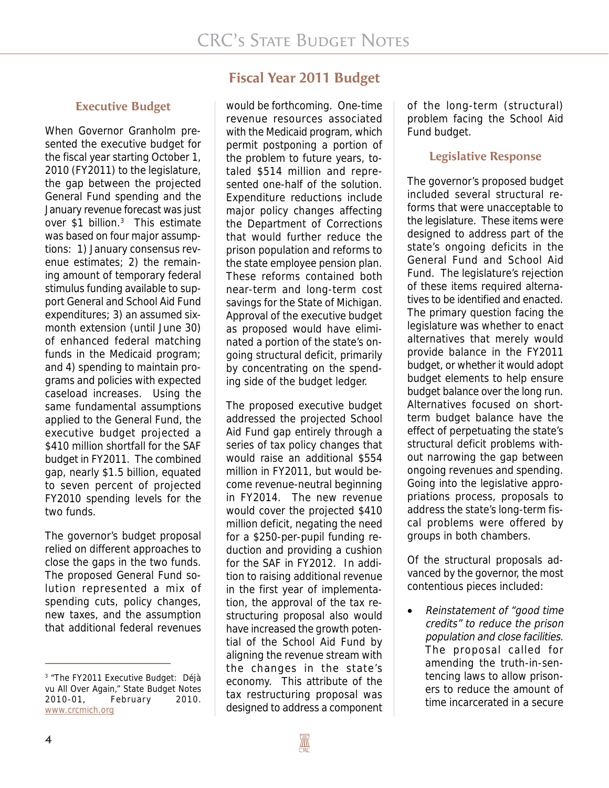#### **Executive Budget**

When Governor Granholm presented the executive budget for the fiscal year starting October 1, 2010 (FY2011) to the legislature, the gap between the projected General Fund spending and the January revenue forecast was just over \$1 billion.<sup>3</sup> This estimate was based on four major assumptions: 1) January consensus revenue estimates; 2) the remaining amount of temporary federal stimulus funding available to support General and School Aid Fund expenditures; 3) an assumed sixmonth extension (until June 30) of enhanced federal matching funds in the Medicaid program; and 4) spending to maintain programs and policies with expected caseload increases. Using the same fundamental assumptions applied to the General Fund, the executive budget projected a \$410 million shortfall for the SAF budget in FY2011. The combined gap, nearly \$1.5 billion, equated to seven percent of projected FY2010 spending levels for the two funds.

The governor's budget proposal relied on different approaches to close the gaps in the two funds. The proposed General Fund solution represented a mix of spending cuts, policy changes, new taxes, and the assumption that additional federal revenues

## **Fiscal Year 2011 Budget**

would be forthcoming. One-time revenue resources associated with the Medicaid program, which permit postponing a portion of the problem to future years, totaled \$514 million and represented one-half of the solution. Expenditure reductions include major policy changes affecting the Department of Corrections that would further reduce the prison population and reforms to the state employee pension plan. These reforms contained both near-term and long-term cost savings for the State of Michigan. Approval of the executive budget as proposed would have eliminated a portion of the state's ongoing structural deficit, primarily by concentrating on the spending side of the budget ledger.

The proposed executive budget addressed the projected School Aid Fund gap entirely through a series of tax policy changes that would raise an additional \$554 million in FY2011, but would become revenue-neutral beginning in FY2014. The new revenue would cover the projected \$410 million deficit, negating the need for a \$250-per-pupil funding reduction and providing a cushion for the SAF in FY2012. In addition to raising additional revenue in the first year of implementation, the approval of the tax restructuring proposal also would have increased the growth potential of the School Aid Fund by aligning the revenue stream with the changes in the state's economy. This attribute of the tax restructuring proposal was designed to address a component

of the long-term (structural) problem facing the School Aid Fund budget.

#### **Legislative Response**

The governor's proposed budget included several structural reforms that were unacceptable to the legislature. These items were designed to address part of the state's ongoing deficits in the General Fund and School Aid Fund. The legislature's rejection of these items required alternatives to be identified and enacted. The primary question facing the legislature was whether to enact alternatives that merely would provide balance in the FY2011 budget, or whether it would adopt budget elements to help ensure budget balance over the long run. Alternatives focused on shortterm budget balance have the effect of perpetuating the state's structural deficit problems without narrowing the gap between ongoing revenues and spending. Going into the legislative appropriations process, proposals to address the state's long-term fiscal problems were offered by groups in both chambers.

Of the structural proposals advanced by the governor, the most contentious pieces included:

• Reinstatement of "good time credits" to reduce the prison population and close facilities. The proposal called for amending the truth-in-sentencing laws to allow prisoners to reduce the amount of time incarcerated in a secure

<sup>&</sup>lt;sup>3</sup> "The FY2011 Executive Budget: Déjà vu All Over Again," State Budget Notes 2010-01, February 2010. www.crcmich.org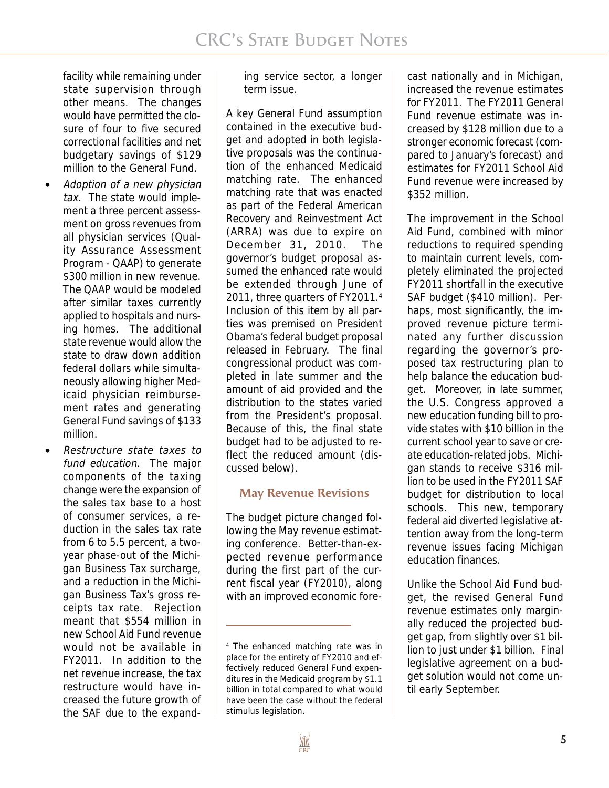facility while remaining under state supervision through other means. The changes would have permitted the closure of four to five secured correctional facilities and net budgetary savings of \$129 million to the General Fund.

- Adoption of a new physician tax. The state would implement a three percent assessment on gross revenues from all physician services (Quality Assurance Assessment Program - QAAP) to generate \$300 million in new revenue. The QAAP would be modeled after similar taxes currently applied to hospitals and nursing homes. The additional state revenue would allow the state to draw down addition federal dollars while simultaneously allowing higher Medicaid physician reimbursement rates and generating General Fund savings of \$133 million.
- Restructure state taxes to fund education. The major components of the taxing change were the expansion of the sales tax base to a host of consumer services, a reduction in the sales tax rate from 6 to 5.5 percent, a twoyear phase-out of the Michigan Business Tax surcharge, and a reduction in the Michigan Business Tax's gross receipts tax rate. Rejection meant that \$554 million in new School Aid Fund revenue would not be available in FY2011. In addition to the net revenue increase, the tax restructure would have increased the future growth of the SAF due to the expand-

ing service sector, a longer term issue.

A key General Fund assumption contained in the executive budget and adopted in both legislative proposals was the continuation of the enhanced Medicaid matching rate. The enhanced matching rate that was enacted as part of the Federal American Recovery and Reinvestment Act (ARRA) was due to expire on December 31, 2010. The governor's budget proposal assumed the enhanced rate would be extended through June of 2011, three quarters of FY2011.4 Inclusion of this item by all parties was premised on President Obama's federal budget proposal released in February. The final congressional product was completed in late summer and the amount of aid provided and the distribution to the states varied from the President's proposal. Because of this, the final state budget had to be adjusted to reflect the reduced amount (discussed below).

### **May Revenue Revisions**

The budget picture changed following the May revenue estimating conference. Better-than-expected revenue performance during the first part of the current fiscal year (FY2010), along with an improved economic forecast nationally and in Michigan, increased the revenue estimates for FY2011. The FY2011 General Fund revenue estimate was increased by \$128 million due to a stronger economic forecast (compared to January's forecast) and estimates for FY2011 School Aid Fund revenue were increased by \$352 million.

The improvement in the School Aid Fund, combined with minor reductions to required spending to maintain current levels, completely eliminated the projected FY2011 shortfall in the executive SAF budget (\$410 million). Perhaps, most significantly, the improved revenue picture terminated any further discussion regarding the governor's proposed tax restructuring plan to help balance the education budget. Moreover, in late summer, the U.S. Congress approved a new education funding bill to provide states with \$10 billion in the current school year to save or create education-related jobs. Michigan stands to receive \$316 million to be used in the FY2011 SAF budget for distribution to local schools. This new, temporary federal aid diverted legislative attention away from the long-term revenue issues facing Michigan education finances.

Unlike the School Aid Fund budget, the revised General Fund revenue estimates only marginally reduced the projected budget gap, from slightly over \$1 billion to just under \$1 billion. Final legislative agreement on a budget solution would not come until early September.

<sup>4</sup> The enhanced matching rate was in place for the entirety of FY2010 and effectively reduced General Fund expenditures in the Medicaid program by \$1.1 billion in total compared to what would have been the case without the federal stimulus legislation.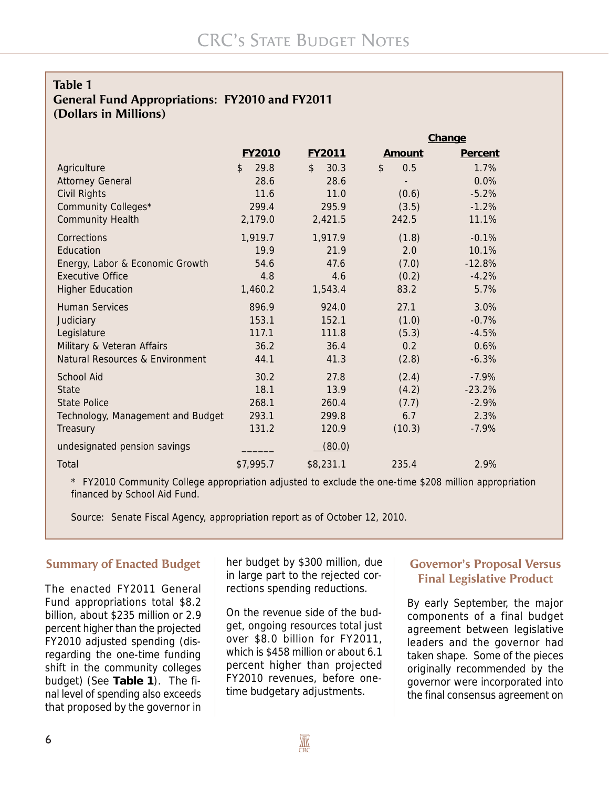#### **Table 1 General Fund Appropriations: FY2010 and FY2011 (Dollars in Millions)**

|                                   |                        |                        | Change               |          |
|-----------------------------------|------------------------|------------------------|----------------------|----------|
|                                   | FY2010                 | FY2011                 | Amount               | Percent  |
| Agriculture                       | $\mathfrak{L}$<br>29.8 | $\mathfrak{L}$<br>30.3 | $\mathcal{L}$<br>0.5 | 1.7%     |
| <b>Attorney General</b>           | 28.6                   | 28.6                   |                      | 0.0%     |
| Civil Rights                      | 11.6                   | 11.0                   | (0.6)                | $-5.2%$  |
| Community Colleges*               | 299.4                  | 295.9                  | (3.5)                | $-1.2%$  |
| <b>Community Health</b>           | 2,179.0                | 2,421.5                | 242.5                | 11.1%    |
| Corrections                       | 1,919.7                | 1,917.9                | (1.8)                | $-0.1%$  |
| Education                         | 19.9                   | 21.9                   | 2.0                  | 10.1%    |
| Energy, Labor & Economic Growth   | 54.6                   | 47.6                   | (7.0)                | $-12.8%$ |
| <b>Executive Office</b>           | 4.8                    | 4.6                    | (0.2)                | $-4.2%$  |
| <b>Higher Education</b>           | 1,460.2                | 1,543.4                | 83.2                 | 5.7%     |
| <b>Human Services</b>             | 896.9                  | 924.0                  | 27.1                 | 3.0%     |
| Judiciary                         | 153.1                  | 152.1                  | (1.0)                | $-0.7%$  |
| Legislature                       | 117.1                  | 111.8                  | (5.3)                | $-4.5%$  |
| Military & Veteran Affairs        | 36.2                   | 36.4                   | 0.2                  | 0.6%     |
| Natural Resources & Environment   | 44.1                   | 41.3                   | (2.8)                | $-6.3%$  |
| <b>School Aid</b>                 | 30.2                   | 27.8                   | (2.4)                | $-7.9%$  |
| <b>State</b>                      | 18.1                   | 13.9                   | (4.2)                | $-23.2%$ |
| <b>State Police</b>               | 268.1                  | 260.4                  | (7.7)                | $-2.9%$  |
| Technology, Management and Budget | 293.1                  | 299.8                  | 6.7                  | 2.3%     |
| Treasury                          | 131.2                  | 120.9                  | (10.3)               | $-7.9\%$ |
| undesignated pension savings      |                        | (80.0)                 |                      |          |
| Total                             | \$7,995.7              | \$8,231.1              | 235.4                | 2.9%     |

\* FY2010 Community College appropriation adjusted to exclude the one-time \$208 million appropriation financed by School Aid Fund.

Source: Senate Fiscal Agency, appropriation report as of October 12, 2010.

#### **Summary of Enacted Budget**

The enacted FY2011 General Fund appropriations total \$8.2 billion, about \$235 million or 2.9 percent higher than the projected FY2010 adjusted spending (disregarding the one-time funding shift in the community colleges budget) (See **Table 1**). The final level of spending also exceeds that proposed by the governor in

her budget by \$300 million, due in large part to the rejected corrections spending reductions.

On the revenue side of the budget, ongoing resources total just over \$8.0 billion for FY2011, which is \$458 million or about 6.1 percent higher than projected FY2010 revenues, before onetime budgetary adjustments.

#### **Governor's Proposal Versus Final Legislative Product**

By early September, the major components of a final budget agreement between legislative leaders and the governor had taken shape. Some of the pieces originally recommended by the governor were incorporated into the final consensus agreement on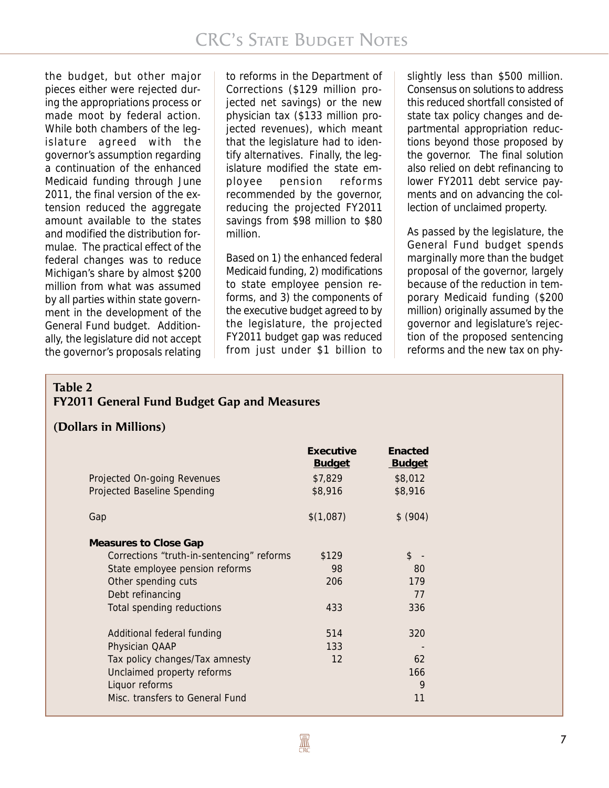the budget, but other major pieces either were rejected during the appropriations process or made moot by federal action. While both chambers of the legislature agreed with the governor's assumption regarding a continuation of the enhanced Medicaid funding through June 2011, the final version of the extension reduced the aggregate amount available to the states and modified the distribution formulae. The practical effect of the federal changes was to reduce Michigan's share by almost \$200 million from what was assumed by all parties within state government in the development of the General Fund budget. Additionally, the legislature did not accept the governor's proposals relating

to reforms in the Department of Corrections (\$129 million projected net savings) or the new physician tax (\$133 million projected revenues), which meant that the legislature had to identify alternatives. Finally, the legislature modified the state employee pension reforms recommended by the governor, reducing the projected FY2011 savings from \$98 million to \$80 million.

Based on 1) the enhanced federal Medicaid funding, 2) modifications to state employee pension reforms, and 3) the components of the executive budget agreed to by the legislature, the projected FY2011 budget gap was reduced from just under \$1 billion to slightly less than \$500 million. Consensus on solutions to address this reduced shortfall consisted of state tax policy changes and departmental appropriation reductions beyond those proposed by the governor. The final solution also relied on debt refinancing to lower FY2011 debt service payments and on advancing the collection of unclaimed property.

As passed by the legislature, the General Fund budget spends marginally more than the budget proposal of the governor, largely because of the reduction in temporary Medicaid funding (\$200 million) originally assumed by the governor and legislature's rejection of the proposed sentencing reforms and the new tax on phy-

## **Table 2 FY2011 General Fund Budget Gap and Measures**

#### **(Dollars in Millions)**

|                                           | Executive<br><b>Budget</b> | Enacted<br><b>Budget</b> |
|-------------------------------------------|----------------------------|--------------------------|
| Projected On-going Revenues               | \$7,829                    | \$8,012                  |
| Projected Baseline Spending               | \$8,916                    | \$8,916                  |
| Gap                                       | \$(1,087)                  | \$ (904)                 |
| Measures to Close Gap                     |                            |                          |
| Corrections "truth-in-sentencing" reforms | \$129                      | $\mathfrak{L}$           |
| State employee pension reforms            | 98                         | 80                       |
| Other spending cuts                       | 206                        | 179                      |
| Debt refinancing                          |                            | 77                       |
| Total spending reductions                 | 433                        | 336                      |
| Additional federal funding                | 514                        | 320                      |
| Physician QAAP                            | 133                        |                          |
| Tax policy changes/Tax amnesty            | 12                         | 62                       |
| Unclaimed property reforms                |                            | 166                      |
| Liquor reforms                            |                            | 9                        |
| Misc. transfers to General Fund           |                            | 11                       |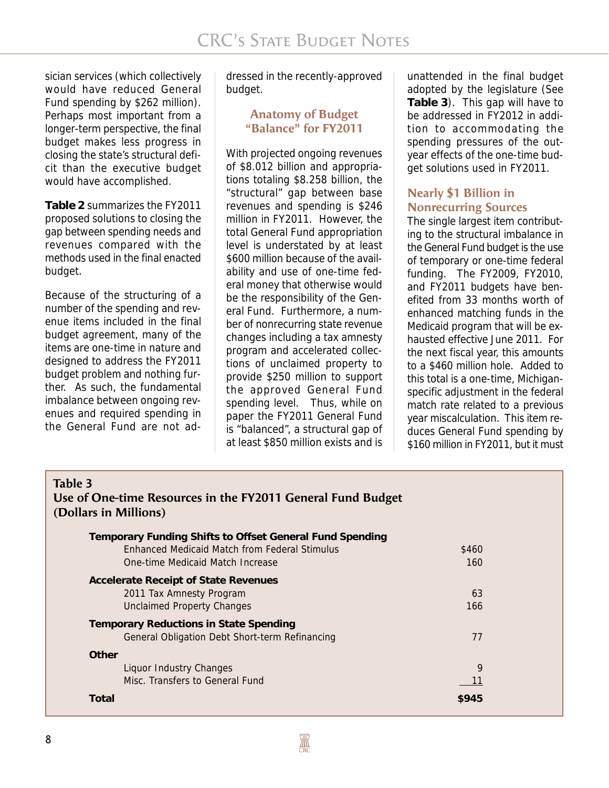sician services (which collectively would have reduced General Fund spending by \$262 million). Perhaps most important from a longer-term perspective, the final budget makes less progress in closing the state's structural deficit than the executive budget would have accomplished.

**Table 2** summarizes the FY2011 proposed solutions to closing the gap between spending needs and revenues compared with the methods used in the final enacted budget.

Because of the structuring of a number of the spending and revenue items included in the final budget agreement, many of the items are one-time in nature and designed to address the FY2011 budget problem and nothing further. As such, the fundamental imbalance between ongoing revenues and required spending in the General Fund are not ad-

dressed in the recently-approved budget.

#### **Anatomy of Budget "Balance" for FY2011**

With projected ongoing revenues of \$8.012 billion and appropriations totaling \$8.258 billion, the "structural" gap between base revenues and spending is \$246 million in FY2011. However, the total General Fund appropriation level is understated by at least \$600 million because of the availability and use of one-time federal money that otherwise would be the responsibility of the General Fund. Furthermore, a number of nonrecurring state revenue changes including a tax amnesty program and accelerated collections of unclaimed property to provide \$250 million to support the approved General Fund spending level. Thus, while on paper the FY2011 General Fund is "balanced", a structural gap of at least \$850 million exists and is

unattended in the final budget adopted by the legislature (See **Table 3**). This gap will have to be addressed in FY2012 in addition to accommodating the spending pressures of the outyear effects of the one-time budget solutions used in FY2011.

#### **Nearly \$1 Billion in Nonrecurring Sources**

The single largest item contributing to the structural imbalance in the General Fund budget is the use of temporary or one-time federal funding. The FY2009, FY2010, and FY2011 budgets have benefited from 33 months worth of enhanced matching funds in the Medicaid program that will be exhausted effective June 2011. For the next fiscal year, this amounts to a \$460 million hole. Added to this total is a one-time, Michiganspecific adjustment in the federal match rate related to a previous year miscalculation. This item reduces General Fund spending by \$160 million in FY2011, but it must

| Table 3                                                                              |       |  |
|--------------------------------------------------------------------------------------|-------|--|
| Use of One-time Resources in the FY2011 General Fund Budget<br>(Dollars in Millions) |       |  |
| Temporary Funding Shifts to Offset General Fund Spending                             |       |  |
| Enhanced Medicaid Match from Federal Stimulus                                        | \$460 |  |
| One-time Medicaid Match Increase                                                     | 160   |  |
| Accelerate Receipt of State Revenues                                                 |       |  |
| 2011 Tax Amnesty Program                                                             | 63    |  |
| <b>Unclaimed Property Changes</b>                                                    | 166   |  |
| <b>Temporary Reductions in State Spending</b>                                        |       |  |
| General Obligation Debt Short-term Refinancing                                       | 77    |  |
| <b>Other</b>                                                                         |       |  |
| Liquor Industry Changes                                                              | 9     |  |
| Misc. Transfers to General Fund                                                      | 11    |  |
| Total                                                                                | \$945 |  |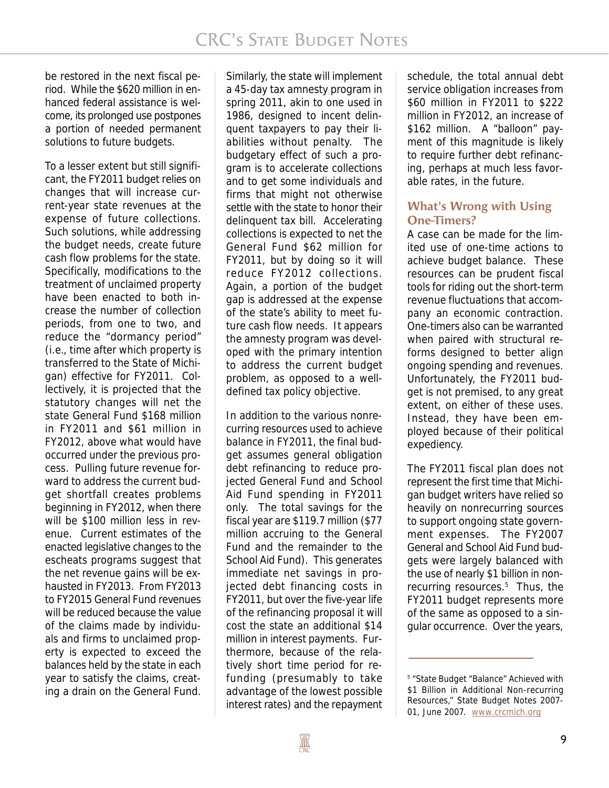be restored in the next fiscal period. While the \$620 million in enhanced federal assistance is welcome, its prolonged use postpones a portion of needed permanent solutions to future budgets.

To a lesser extent but still significant, the FY2011 budget relies on changes that will increase current-year state revenues at the expense of future collections. Such solutions, while addressing the budget needs, create future cash flow problems for the state. Specifically, modifications to the treatment of unclaimed property have been enacted to both increase the number of collection periods, from one to two, and reduce the "dormancy period" (i.e., time after which property is transferred to the State of Michigan) effective for FY2011. Collectively, it is projected that the statutory changes will net the state General Fund \$168 million in FY2011 and \$61 million in FY2012, above what would have occurred under the previous process. Pulling future revenue forward to address the current budget shortfall creates problems beginning in FY2012, when there will be \$100 million less in revenue. Current estimates of the enacted legislative changes to the escheats programs suggest that the net revenue gains will be exhausted in FY2013. From FY2013 to FY2015 General Fund revenues will be reduced because the value of the claims made by individuals and firms to unclaimed property is expected to exceed the balances held by the state in each year to satisfy the claims, creating a drain on the General Fund.

Similarly, the state will implement a 45-day tax amnesty program in spring 2011, akin to one used in 1986, designed to incent delinquent taxpayers to pay their liabilities without penalty. The budgetary effect of such a program is to accelerate collections and to get some individuals and firms that might not otherwise settle with the state to honor their delinquent tax bill. Accelerating collections is expected to net the General Fund \$62 million for FY2011, but by doing so it will reduce FY2012 collections. Again, a portion of the budget gap is addressed at the expense of the state's ability to meet future cash flow needs. It appears the amnesty program was developed with the primary intention to address the current budget problem, as opposed to a welldefined tax policy objective.

In addition to the various nonrecurring resources used to achieve balance in FY2011, the final budget assumes general obligation debt refinancing to reduce projected General Fund and School Aid Fund spending in FY2011 only. The total savings for the fiscal year are \$119.7 million (\$77 million accruing to the General Fund and the remainder to the School Aid Fund). This generates immediate net savings in projected debt financing costs in FY2011, but over the five-year life of the refinancing proposal it will cost the state an additional \$14 million in interest payments. Furthermore, because of the relatively short time period for refunding (presumably to take advantage of the lowest possible interest rates) and the repayment schedule, the total annual debt service obligation increases from \$60 million in FY2011 to \$222 million in FY2012, an increase of \$162 million. A "balloon" payment of this magnitude is likely to require further debt refinancing, perhaps at much less favorable rates, in the future.

#### **What's Wrong with Using One-Timers?**

A case can be made for the limited use of one-time actions to achieve budget balance. These resources can be prudent fiscal tools for riding out the short-term revenue fluctuations that accompany an economic contraction. One-timers also can be warranted when paired with structural reforms designed to better align ongoing spending and revenues. Unfortunately, the FY2011 budget is not premised, to any great extent, on either of these uses. Instead, they have been employed because of their political expediency.

The FY2011 fiscal plan does not represent the first time that Michigan budget writers have relied so heavily on nonrecurring sources to support ongoing state government expenses. The FY2007 General and School Aid Fund budgets were largely balanced with the use of nearly \$1 billion in nonrecurring resources.<sup>5</sup> Thus, the FY2011 budget represents more of the same as opposed to a singular occurrence. Over the years,

<sup>5</sup> "State Budget "Balance" Achieved with \$1 Billion in Additional Non-recurring Resources," State Budget Notes 2007- 01, June 2007. www.crcmich.org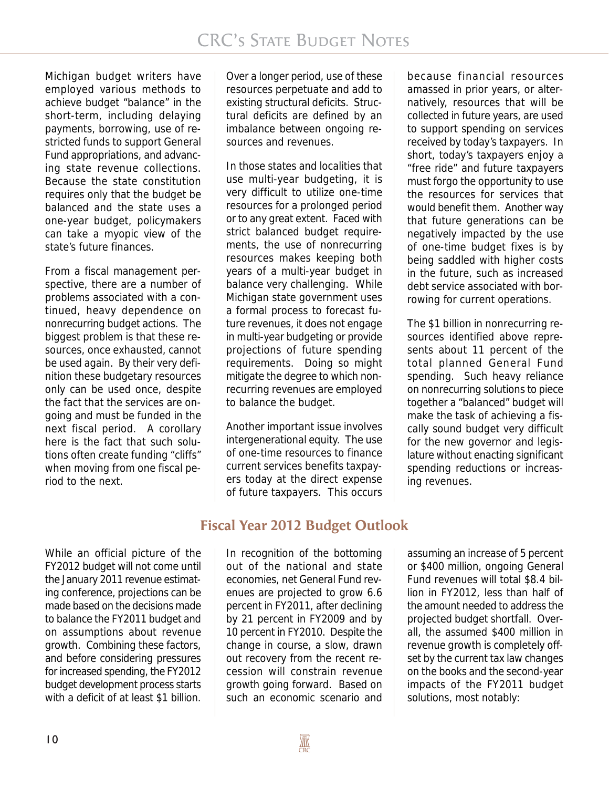Michigan budget writers have employed various methods to achieve budget "balance" in the short-term, including delaying payments, borrowing, use of restricted funds to support General Fund appropriations, and advancing state revenue collections. Because the state constitution requires only that the budget be balanced and the state uses a one-year budget, policymakers can take a myopic view of the state's future finances.

From a fiscal management perspective, there are a number of problems associated with a continued, heavy dependence on nonrecurring budget actions. The biggest problem is that these resources, once exhausted, cannot be used again. By their very definition these budgetary resources only can be used once, despite the fact that the services are ongoing and must be funded in the next fiscal period. A corollary here is the fact that such solutions often create funding "cliffs" when moving from one fiscal period to the next.

Over a longer period, use of these resources perpetuate and add to existing structural deficits. Structural deficits are defined by an imbalance between ongoing resources and revenues.

In those states and localities that use multi-year budgeting, it is very difficult to utilize one-time resources for a prolonged period or to any great extent. Faced with strict balanced budget requirements, the use of nonrecurring resources makes keeping both years of a multi-year budget in balance very challenging. While Michigan state government uses a formal process to forecast future revenues, it does not engage in multi-year budgeting or provide projections of future spending requirements. Doing so might mitigate the degree to which nonrecurring revenues are employed to balance the budget.

Another important issue involves intergenerational equity. The use of one-time resources to finance current services benefits taxpayers today at the direct expense of future taxpayers. This occurs

because financial resources amassed in prior years, or alternatively, resources that will be collected in future years, are used to support spending on services received by today's taxpayers. In short, today's taxpayers enjoy a "free ride" and future taxpayers must forgo the opportunity to use the resources for services that would benefit them. Another way that future generations can be negatively impacted by the use of one-time budget fixes is by being saddled with higher costs in the future, such as increased debt service associated with borrowing for current operations.

The \$1 billion in nonrecurring resources identified above represents about 11 percent of the total planned General Fund spending. Such heavy reliance on nonrecurring solutions to piece together a "balanced" budget will make the task of achieving a fiscally sound budget very difficult for the new governor and legislature without enacting significant spending reductions or increasing revenues.

## **Fiscal Year 2012 Budget Outlook**

While an official picture of the FY2012 budget will not come until the January 2011 revenue estimating conference, projections can be made based on the decisions made to balance the FY2011 budget and on assumptions about revenue growth. Combining these factors, and before considering pressures for increased spending, the FY2012 budget development process starts with a deficit of at least \$1 billion.

In recognition of the bottoming out of the national and state economies, net General Fund revenues are projected to grow 6.6 percent in FY2011, after declining by 21 percent in FY2009 and by 10 percent in FY2010. Despite the change in course, a slow, drawn out recovery from the recent recession will constrain revenue growth going forward. Based on such an economic scenario and

assuming an increase of 5 percent or \$400 million, ongoing General Fund revenues will total \$8.4 billion in FY2012, less than half of the amount needed to address the projected budget shortfall. Overall, the assumed \$400 million in revenue growth is completely offset by the current tax law changes on the books and the second-year impacts of the FY2011 budget solutions, most notably: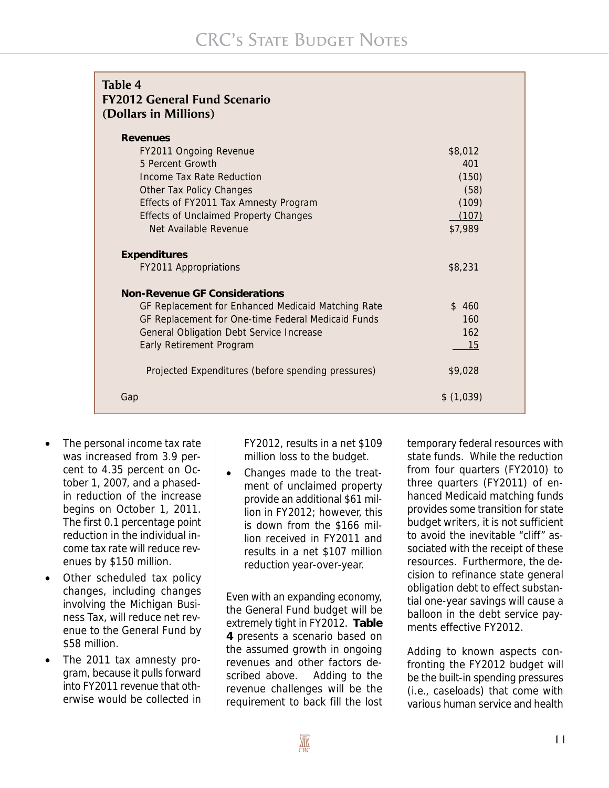| Table 4<br><b>FY2012 General Fund Scenario</b><br>(Dollars in Millions) |           |
|-------------------------------------------------------------------------|-----------|
| <b>Revenues</b>                                                         |           |
| FY2011 Ongoing Revenue                                                  | \$8,012   |
| 5 Percent Growth                                                        | 401       |
| Income Tax Rate Reduction                                               | (150)     |
| Other Tax Policy Changes                                                | (58)      |
| Effects of FY2011 Tax Amnesty Program                                   | (109)     |
| <b>Effects of Unclaimed Property Changes</b>                            | (107)     |
| Net Available Revenue                                                   | \$7,989   |
| <b>Expenditures</b>                                                     |           |
| FY2011 Appropriations                                                   | \$8,231   |
| <b>Non-Revenue GF Considerations</b>                                    |           |
| GF Replacement for Enhanced Medicaid Matching Rate                      | \$460     |
| GF Replacement for One-time Federal Medicaid Funds                      | 160       |
| General Obligation Debt Service Increase                                | 162       |
| Early Retirement Program                                                | 15        |
| Projected Expenditures (before spending pressures)                      | \$9,028   |
| Gap                                                                     | \$(1,039) |

- The personal income tax rate was increased from 3.9 percent to 4.35 percent on October 1, 2007, and a phasedin reduction of the increase begins on October 1, 2011. The first 0.1 percentage point reduction in the individual income tax rate will reduce revenues by \$150 million.
- Other scheduled tax policy changes, including changes involving the Michigan Business Tax, will reduce net revenue to the General Fund by \$58 million.
- The 2011 tax amnesty program, because it pulls forward into FY2011 revenue that otherwise would be collected in

FY2012, results in a net \$109 million loss to the budget.

• Changes made to the treatment of unclaimed property provide an additional \$61 million in FY2012; however, this is down from the \$166 million received in FY2011 and results in a net \$107 million reduction year-over-year.

Even with an expanding economy, the General Fund budget will be extremely tight in FY2012. **Table 4** presents a scenario based on the assumed growth in ongoing revenues and other factors described above. Adding to the revenue challenges will be the requirement to back fill the lost

temporary federal resources with state funds. While the reduction from four quarters (FY2010) to three quarters (FY2011) of enhanced Medicaid matching funds provides some transition for state budget writers, it is not sufficient to avoid the inevitable "cliff" associated with the receipt of these resources. Furthermore, the decision to refinance state general obligation debt to effect substantial one-year savings will cause a balloon in the debt service payments effective FY2012.

Adding to known aspects confronting the FY2012 budget will be the built-in spending pressures (i.e., caseloads) that come with various human service and health